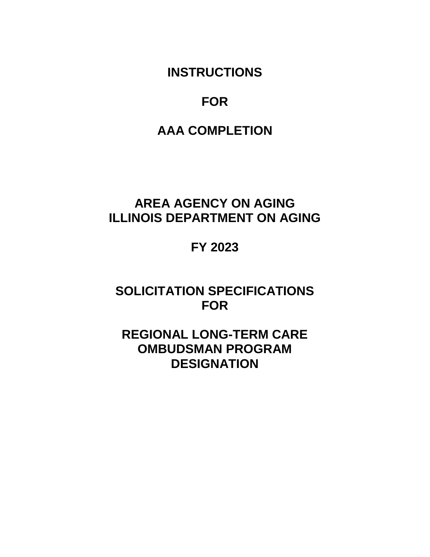**INSTRUCTIONS**

## **FOR**

# **AAA COMPLETION**

# **AREA AGENCY ON AGING ILLINOIS DEPARTMENT ON AGING**

## **FY 2023**

## **SOLICITATION SPECIFICATIONS FOR**

## **REGIONAL LONG-TERM CARE OMBUDSMAN PROGRAM DESIGNATION**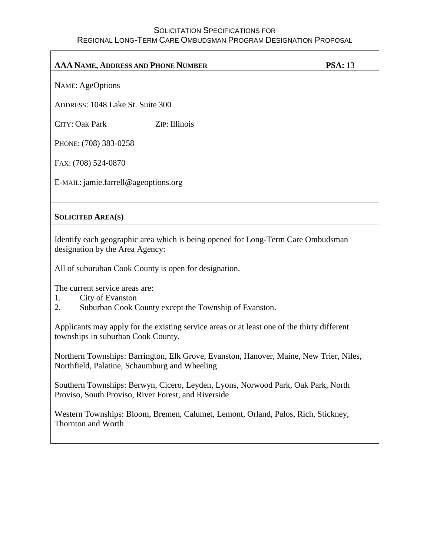| <b>AAA NAME, ADDRESS AND PHONE NUMBER</b>                                                                           |               | <b>PSA: 13</b> |
|---------------------------------------------------------------------------------------------------------------------|---------------|----------------|
| <b>NAME:</b> AgeOptions                                                                                             |               |                |
| ADDRESS: 1048 Lake St. Suite 300                                                                                    |               |                |
| <b>CITY: Oak Park</b>                                                                                               | ZIP: Illinois |                |
| PHONE: (708) 383-0258                                                                                               |               |                |
| FAX: (708) 524-0870                                                                                                 |               |                |
| E-MAIL: jamie.farrell@ageoptions.org                                                                                |               |                |
|                                                                                                                     |               |                |
| <b>SOLICITED AREA(S)</b>                                                                                            |               |                |
| Identify each geographic area which is being opened for Long-Term Care Ombudsman<br>designation by the Area Agency: |               |                |
| All of suburuban Cook County is open for designation.                                                               |               |                |

The current service areas are:

- 1. City of Evanston
- 2. Suburban Cook County except the Township of Evanston.

Applicants may apply for the existing service areas or at least one of the thirty different townships in suburban Cook County.

Northern Townships: Barrington, Elk Grove, Evanston, Hanover, Maine, New Trier, Niles, Northfield, Palatine, Schaumburg and Wheeling

Southern Townships: Berwyn, Cicero, Leyden, Lyons, Norwood Park, Oak Park, North Proviso, South Proviso, River Forest, and Riverside

Western Townships: Bloom, Bremen, Calumet, Lemont, Orland, Palos, Rich, Stickney, Thornton and Worth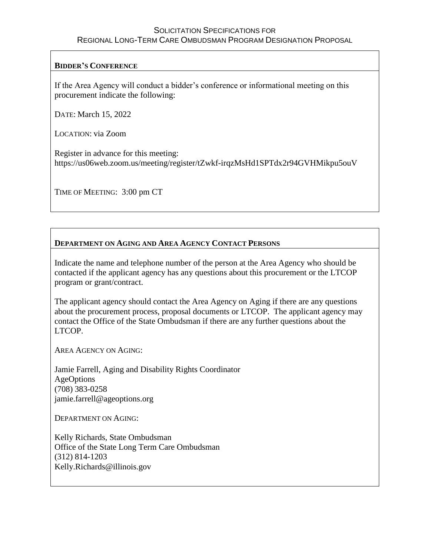### **BIDDER'S CONFERENCE**

If the Area Agency will conduct a bidder's conference or informational meeting on this procurement indicate the following:

DATE: March 15, 2022

LOCATION: via Zoom

Register in advance for this meeting: https://us06web.zoom.us/meeting/register/tZwkf-irqzMsHd1SPTdx2r94GVHMikpu5ouV

TIME OF MEETING: 3:00 pm CT

### **DEPARTMENT ON AGING AND AREA AGENCY CONTACT PERSONS**

Indicate the name and telephone number of the person at the Area Agency who should be contacted if the applicant agency has any questions about this procurement or the LTCOP program or grant/contract.

The applicant agency should contact the Area Agency on Aging if there are any questions about the procurement process, proposal documents or LTCOP. The applicant agency may contact the Office of the State Ombudsman if there are any further questions about the LTCOP.

AREA AGENCY ON AGING:

Jamie Farrell, Aging and Disability Rights Coordinator AgeOptions (708) 383-0258 jamie.farrell@ageoptions.org

DEPARTMENT ON AGING:

Kelly Richards, State Ombudsman Office of the State Long Term Care Ombudsman (312) 814-1203 Kelly.Richards@illinois.gov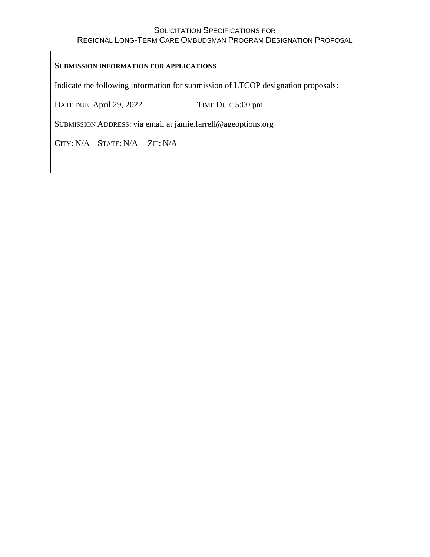#### **SUBMISSION INFORMATION FOR APPLICATIONS**

Indicate the following information for submission of LTCOP designation proposals:

DATE DUE: April 29, 2022 TIME DUE: 5:00 pm

SUBMISSION ADDRESS: via email at jamie.farrell@ageoptions.org

CITY: N/A STATE: N/A ZIP: N/A